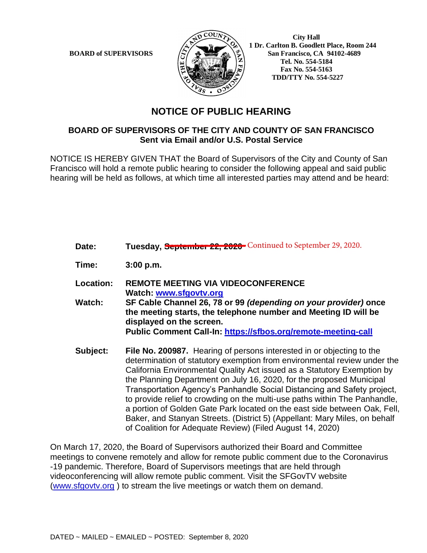

 **City Hall 1 Dr. Carlton B. Goodlett Place, Room 244 BOARD of SUPERVISORS**  $\left(\frac{S}{I}\right)$   $\oplus$   $\left(\frac{S}{I}\right)$  San Francisco, CA 94102-4689  **Tel. No. 554-5184 Fax No. 554-5163 TDD/TTY No. 554-5227**

## **NOTICE OF PUBLIC HEARING**

## **BOARD OF SUPERVISORS OF THE CITY AND COUNTY OF SAN FRANCISCO Sent via Email and/or U.S. Postal Service**

NOTICE IS HEREBY GIVEN THAT the Board of Supervisors of the City and County of San Francisco will hold a remote public hearing to consider the following appeal and said public hearing will be held as follows, at which time all interested parties may attend and be heard:

| Date:     | Tuesday, September 22, 2020 Continued to September 29, 2020.                                                                                                                                                                                                                                                                                                                    |
|-----------|---------------------------------------------------------------------------------------------------------------------------------------------------------------------------------------------------------------------------------------------------------------------------------------------------------------------------------------------------------------------------------|
| Time:     | 3:00 p.m.                                                                                                                                                                                                                                                                                                                                                                       |
| Location: | <b>REMOTE MEETING VIA VIDEOCONFERENCE</b><br>Watch: www.sfgovtv.org                                                                                                                                                                                                                                                                                                             |
| Watch:    | SF Cable Channel 26, 78 or 99 (depending on your provider) once<br>the meeting starts, the telephone number and Meeting ID will be<br>displayed on the screen.                                                                                                                                                                                                                  |
|           | Public Comment Call-In: https://sfbos.org/remote-meeting-call                                                                                                                                                                                                                                                                                                                   |
| Subject:  | File No. 200987. Hearing of persons interested in or objecting to the<br>determination of statutory exemption from environmental review under the<br>California Environmental Quality Act issued as a Statutory Exemption by<br>the Planning Department on July 16, 2020, for the proposed Municipal<br>Transportation Agency's Panhandle Social Distancing and Safety project, |

to provide relief to crowding on the multi-use paths within The Panhandle, a portion of Golden Gate Park located on the east side between Oak, Fell, Baker, and Stanyan Streets. (District 5) (Appellant: Mary Miles, on behalf of Coalition for Adequate Review) (Filed August 14, 2020)

On March 17, 2020, the Board of Supervisors authorized their Board and Committee meetings to convene remotely and allow for remote public comment due to the Coronavirus -19 pandemic. Therefore, Board of Supervisors meetings that are held through videoconferencing will allow remote public comment. Visit the SFGovTV website (www.sfgovtv.org ) to stream the live meetings or watch them on demand.